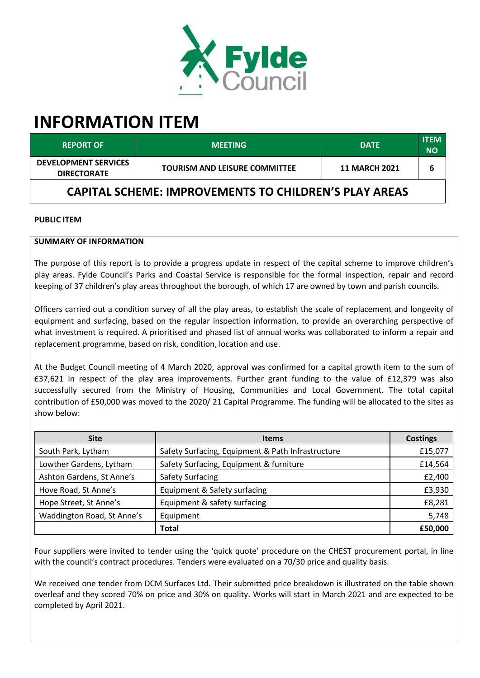

# **INFORMATION ITEM**

| <b>REPORT OF</b>                                  | <b>MEETING</b>                                               | <b>DATE</b>          | <b>ITEM</b><br><b>NO</b> |
|---------------------------------------------------|--------------------------------------------------------------|----------------------|--------------------------|
| <b>DEVELOPMENT SERVICES</b><br><b>DIRECTORATE</b> | <b>TOURISM AND LEISURE COMMITTEE</b>                         | <b>11 MARCH 2021</b> | 6                        |
|                                                   | <b>CAPITAL SCHEME: IMPROVEMENTS TO CHILDREN'S PLAY AREAS</b> |                      |                          |

#### **PUBLIC ITEM**

#### **SUMMARY OF INFORMATION**

The purpose of this report is to provide a progress update in respect of the capital scheme to improve children's play areas. Fylde Council's Parks and Coastal Service is responsible for the formal inspection, repair and record keeping of 37 children's play areas throughout the borough, of which 17 are owned by town and parish councils.

Officers carried out a condition survey of all the play areas, to establish the scale of replacement and longevity of equipment and surfacing, based on the regular inspection information, to provide an overarching perspective of what investment is required. A prioritised and phased list of annual works was collaborated to inform a repair and replacement programme, based on risk, condition, location and use.

At the Budget Council meeting of 4 March 2020, approval was confirmed for a capital growth item to the sum of £37,621 in respect of the play area improvements. Further grant funding to the value of £12,379 was also successfully secured from the Ministry of Housing, Communities and Local Government. The total capital contribution of £50,000 was moved to the 2020/ 21 Capital Programme. The funding will be allocated to the sites as show below:

| <b>Site</b>                | <b>Items</b>                                      | <b>Costings</b> |
|----------------------------|---------------------------------------------------|-----------------|
| South Park, Lytham         | Safety Surfacing, Equipment & Path Infrastructure | £15,077         |
| Lowther Gardens, Lytham    | Safety Surfacing, Equipment & furniture           | £14,564         |
| Ashton Gardens, St Anne's  | <b>Safety Surfacing</b>                           | £2,400          |
| Hove Road, St Anne's       | Equipment & Safety surfacing                      | £3,930          |
| Hope Street, St Anne's     | Equipment & safety surfacing                      | £8,281          |
| Waddington Road, St Anne's | Equipment                                         | 5,748           |
|                            | Total                                             | £50,000         |

Four suppliers were invited to tender using the 'quick quote' procedure on the CHEST procurement portal, in line with the council's contract procedures. Tenders were evaluated on a 70/30 price and quality basis.

We received one tender from DCM Surfaces Ltd. Their submitted price breakdown is illustrated on the table shown overleaf and they scored 70% on price and 30% on quality. Works will start in March 2021 and are expected to be completed by April 2021.